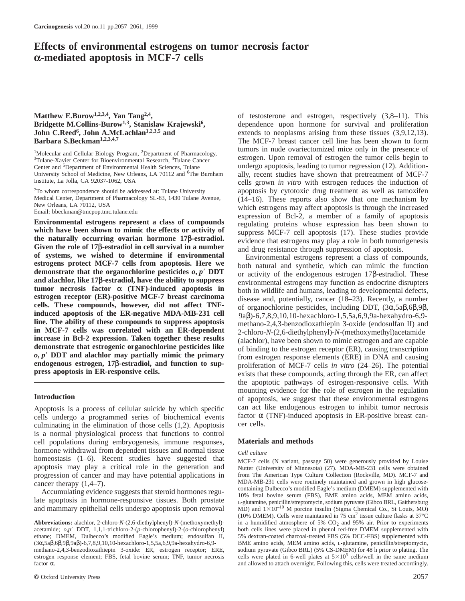# **Effects of environmental estrogens on tumor necrosis factor α-mediated apoptosis in MCF-7 cells**

Medical Center, Department of Pharmacology SL-83, 1430 Tulane Avenue,<br>
New Orleans, LA 70112, USA<br>
Email: bbeckman@tmcpp.tmc.tulane.edu<br>
Email: bbeckman@tmcpp.tmc.tulane.edu<br> **Environmental estrogens represent a class of** and alachlor, like 17 $\beta$ -estradiol, have the ability to suppress<br>tumor necrosis factor  $\alpha$  (TNF)-induced apoptosis in<br>estrogen receptor (ER)-positive MCF-7 breast carcinoma<br>cells. These compounds, however, did not affec

cells undergo a programmed series of biochemical events factor  $\alpha$  (TNF)-induced apoptosis in the elimination of those cells (TNF)- $\alpha$  apoptosis can cells. culminating in the elimination of those cells  $(1,2)$ . Apoptosis is a normal physiological process that functions to control cell populations during embryogenesis, immune responses, **Materials and methods** hormone withdrawal from dependent tissues and normal tissue *Cell culture* homeostasis (1–6). Recent studies have suggested that MCF-7 cells (N variant, passage 50) were generously provided by Louise apoptosis may play a critical role in the generation and<br>progression of cancer and may have potential applications in from The American Type Culture Collection (Rockville, MD). MCF-7 and progression of cancer and may have potential applications in from The American Type Culture Collection (Rockville, MD). MCF-7 and MDA-MB-231 cells were routinely maintained and grown in high glucose-

and mammary epithelial cells undergo apoptosis upon removal

**Matthew E.Burow<sup>1,2,3,4</sup>, Yan Tang<sup>2,4</sup>,** of testosterone and estrogen, respectively (3,8–11). This **Bridgette M.Collins-Burow<sup>1,3</sup>, Stanislaw Krajewski<sup>6</sup>, beinding the open bormone for survival and proliferation** dependence upon hormone for survival and proliferation **John C.Reed<sup>6</sup>, John A.McLachlan<sup>1,2,3,5</sup> and** extends to neoplasms arising from these tissues (3,9,12,13).<br> **Barbara S.Beckman<sup>1,2,3,4,7</sup>** The MCF-7 breast cancer cell line has been shown to form The MCF-7 breast cancer cell line has been shown to form <sup>1</sup>Molecular and Cellular Biology Program, <sup>2</sup>Department of Pharmacology,<br><sup>3</sup>Tulane-Xavier Center for Bioenvironmental Research, <sup>4</sup>Tulane Cancer<br>Center and <sup>5</sup>Department of Environmental Health Sciences, Tulane<br>Center and Center and <sup>5</sup>Department of Environmental Health Sciences, Tulane and the Undergo apoptosis, leading to tumor regression (12). Addition-<br>University School of Medicine, New Orleans, LA 70112 and <sup>6</sup>The Burnham ally, recent University School of Medicine, New Orleans, LA 70112 and <sup>6</sup>The Burnham ally, recent studies have shown that pretreatment of MCF-7 Institute, La Jolla, CA 92037-1062, USA cells grown in vitro with estrogen reduces the indu cells grown *in vitro* with estrogen reduces the induction of <sup>7</sup>To whom correspondence should be addressed at: Tulane University apoptosis by cytotoxic drug treatment as well as tamoxifen  $(14-16)$ . These reports also show that one mechanism by

**demonstrate that estrogenic organochlorine pesticides like** of binding to the estrogen receptor (ER), causing transcription  $o, p'$  **DDT** and alachlor may partially mimic the primary from estrogen response elements (ERE) the apoptotic pathways of estrogen-responsive cells. With **Introduction Introduction Introduction Introduction Introduction Integral estrogen in the regulation** of apoptosis, we suggest that these environmental estrogens Apoptosis is a process of cellular suicide by which specific can act like endogenous estrogen to inhibit tumor necrosis cells undergo a programmed series of biochemical events factor  $\alpha$  (TNF)-induced apoptosis in ER-pos

cancer therapy (1,4–7).<br>
ALDA-MB-231 cells were routinely maintained and grown in high glucose-<br>
Accumulating evidence suggests that steroid hormones regu-<br>
late apoptosis in hormone-responsive tissues. Both prostate<br>
lat (10% DMEM). Cells were maintained in 75 cm<sup>2</sup> tissue culture flasks at  $37^{\circ}$ C **Abbreviations:** alachlor, 2-chloro-*N*-(2,6-diethylphenyl)-*N*-(methoxymethyl)- in a humidified atmosphere of 5% CO<sub>2</sub> and 95% air. Prior to experiments acetamide;  $o, p'$  DDT, 1,1,1-trichloro-2-(p-chlorophenyl)-2-(o-chlor both cells lines were placed in phenol red-free DMEM supplemented with BME amino acids, MEM amino acids, L-glutamine, penicillin/streptomycin,

ethane; DMEM, Dulbecco's modified Eagle's medium; endosulfan II, 5% dextran-coated charcoal-treated FBS (5% DCC-FBS) supplemented with  $(3\alpha, 5a\beta, 6\beta, 9\beta, 9a\beta)$ -6,7,8,9,10,10-hexachloro-1,5,5a,6,9,9a-hexahydro-6,9- BME methano-2,4,3-benzodioxathiepin 3-oxide: ER, estrogen receptor; ERE, sodium pyruvate (Gibco BRL) (5% CS-DMEM) for 48 h prior to plating. The estrogen response element; FBS, fetal bovine serum; TNF, tumor necrosis cells were plated in 6-well plates at  $5\times10^5$  cells/well in the same medium factor α. and allowed to attach overnight. Following this, cells were treated accordingly.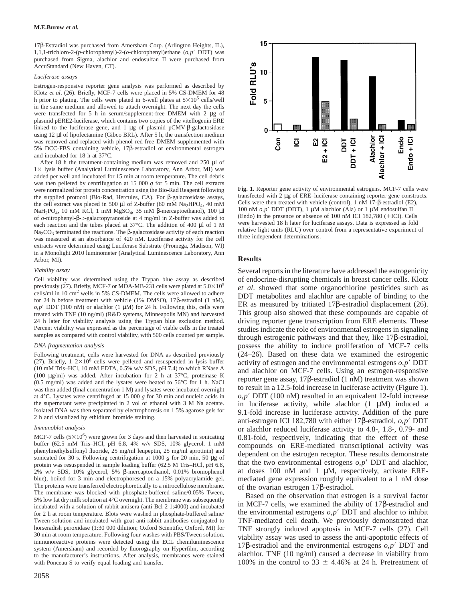17β-Estradiol was purchased from Amersham Corp. (Arlington Heights, IL), 1,1,1-trichloro-2-(*p*-chlorophenyl)-2-(*o*-chlorophenyl)ethane (*o*,*p*9 DDT) was purchased from Sigma, alachlor and endosulfan II were purchased from AccuStandard (New Haven, CT).

## *Luciferase assays*

Estrogen-responsive reporter gene analysis was performed as described by Klotz *et al*. (26). Briefly, MCF-7 cells were placed in 5% CS-DMEM for 48 h prior to plating. The cells were plated in 6-well plates at  $5\times10^5$  cells/well in the same medium and allowed to attach overnight. The next day the cells were transfected for 5 h in serum/supplement-free DMEM with 2 µg of plasmid pERE2-luciferase, which contains two copies of the vitellogenin ERE linked to the luciferase gene, and 1 µg of plasmid pCMV-β-galactosidase using 12 µl of lipofectamine (Gibco BRL). After 5 h, the transfection medium was removed and replaced with phenol red-free DMEM supplemented with 5% DCC-FBS containing vehicle, 17β-estradiol or environmental estrogen and incubated for 18 h at 37°C.

After 18 h the treatment-containing medium was removed and  $250 \mu l$  of 1× lysis buffer (Analytical Luminescence Laboratory, Ann Arbor, MI) was added per well and incubated for 15 min at room temperature. The cell debris was then pelleted by centrifugation at 15 000 *g* for 5 min. The cell extracts were normalized for protein concentration using the Bio-Rad Reagent following **Fig. 1.** Reporter gene activity of environmental estrogens. MCF-7 cells were the supplied protocol (Bio-Rad Hercules CA) For B-valactosidase as the supplied protocol (Bio-Rad, Hercules, CA). For  $\beta$ -galactosidase assays,<br>the cell extract was placed in 500 µl of Z-buffer (60 mM Na<sub>2</sub>HPO<sub>4</sub>, 40 mM<br>NaH<sub>2</sub>PO<sub>4</sub>, 10 mM KCL 1 mM MoSO<sub>4</sub>, 35 mM B-mercantoethanol), 100 NaH<sub>2</sub>PO<sub>4</sub>, 10 mM KCl, 1 mM MgSO<sub>4</sub>, 35 mM β-mercaptoethanol), 100 μl <sup>100 nM</sup> *o,p'* DDT (DDT), 1 μM alachlor (Ala) or 1 μM endosulfan II of *o*-nitrophenyl-β-D-galactopyranoside at 4 mg/ml in Z-buffer was added to (End  $\alpha$  is matched to the tubes placed at 37°C. The addition of 400  $\mu$  of 1 M were harvested 18 h later for luciferase assays. Data is expressed as fold<br>each reaction and the tubes placed at 37°C. The addition of 400  $\mu$   $Na<sub>2</sub>CO<sub>3</sub>$  terminated the reactions. The  $\beta$ -galactosidase activity of each reaction<br>was measured at an absorbance of 420 nM. Luciferase activity for the cell three independent determinations. extracts were determined using Luciferase Substrate (Promega, Madison, WI) in a Monolight 2010 luminometer (Analytical Luminescence Laboratory, Ann Arbor, MI). **Results**

previously (27). Briefly, MCF-7 or MDA-MB-231 cells were plated at 5.0×10° et al. showed that some organochlorine pesticides such as cells/ml in 10 cm<sup>2</sup> wells in 5% CS-DMEM. The cells were allowed to adhere for 24 h befo

(10 mM Ins-HCl, 10 mM EDTA, 0.5% w/v SDS, pH 7.4) to which RNase A<br>(100 µg/ml) was added. After incubation for 2 h at 37°C, proteinase K<br>(0.5 mg/ml) was added and the lysates were heated to 56°C for 1 h. NaCl reporter gen

MCF-7 cells  $(5\times10^6)$  were grown for 3 days and then harvested in sonicating 0.81-fold, respectively, indicating that the effect of these buffer  $(62.5 \text{ mM Tris-HCl}$ , pH 6.8, 4% w/v SDS, 10% glycerol. 1 mM compounds on FRFbuffer (62.5 mM Tris-HCl, pH 6.8, 4% w/v SDS, 10% glycerol. 1 mM<br>
phenylmethylsulfonyl fluoride, 25 mg/ml leupeptin, 25 mg/ml aprotinin) and<br>
sonicated for 30 s. Following centrifugition at 1000 g for 20 min, 50 µg of<br>
pr 2% w/v SDS, 10% glycerol, 5% β-mercaptoethanol, 0.01% bromophenol blue), boiled for 3 min and electrophoresed on a 15% polyacrylamide gel. mediated gene expression roughly equivalent to a 1 nM dose The proteins were transferred electrophoretically to a nitrocellulose membrane. of the ovarian estrogen  $17\beta$ -estradiol.<br>The membrane was blocked with phosphate-buffered saline/0.05% Tween, The membrane was blocked with phosphate-buttered saline/0.05% Tween,<br>5% low fat dry milk solution at 4°C overnight. The membrane was subsequently<br>incubated with a solution of rabbit antisera (anti-Bcl-2 1:4000) and incuba



*Viability assay* Several reports in the literature have addressed the estrogenicity Cell viability was determined using the Trypan blue assay as described of endocrine-disrupting chemicals in breast cancer cells. Klotz previously (27). Briefly, MCF-7 or MDA-MB-231 cells were plated at  $5.0 \times 10^5$  et al. treated with TNF (10 ng/ml) (R&D systems, Minneapolis MN) and harvested This group also showed that these compounds are capable of 24 h later for viability analysis using the Trypan blue exclusion method. driving reporter gene transcription from ERE elements. These Percent viability was expressed as the percentage of viable cells in the treated studie Percent viability was expressed as the percentage of viable cells in the treated studies indicate the role of environmental estrogens in signaling<br>samples as compared with control viability, with 500 cells counted per sam *DNA fragmentation analysis* possess the ability to induce proliferation of MCF-7 cells Following treatment, cells were harvested for DNA as described previously (24–26). Based on these data we examined the estrogenic (27). Briefly,  $1-2\times10^6$  cells were pelleted and resuspended in lysis buffer activity of estrogen and the environmental estrogens  $o, p'$  DDT (10 mM Tris-HCl, 10 mM EDTA, 0.5% w/v SDS, pH 7.4) to which RNase A and algoba was then added (final concentration 1 M) and lysates were incubated overnight to result in a 12.5-fold increase in luciferase activity (Figure 1).<br>at 4°C. Lysates were centrifuged at 15 000 g for 30 min and nucleic acids  $o, p'$  DDT (100 nM) resulted in an equivalent 12-fold increase the supernatant were precipitated in 2 vol of ethanol with 3 M Na acetate. in luciferase activity, while alachlor  $(1 \mu M)$  induced a Isolated DNA was then separated by electrophoresis on 1.5% agarose gels for  $\alpha$  1.fold Isolated DNA was then separated by electrophoresis on 1.5% agarose gels for  $\frac{9.1\text{-}fold}{2 \cdot 1.50}$  increase in luciferase activity. Addition of the pure anti-estrogen ICI 182,780 with either 17 $\beta$ -estradiol,  $o, p'$  DDT *Immunoblot analysis*<br>*Immunoblot analysis* or alachlor reduced luciferase activity to 4.8-, 1.8-, 0.79- and<br>*MCF-7* cells (5×10<sup>6</sup>) were grown for 3 days and then harvested in sonicating 0.81-fold, respectively, indicatin

for 2 h at room temperature. Blots were washed in phosphate-buffered saline/ the environmental estrogens  $o, p'$  DDT and alachlor to inhibit Tween solution and incubated with goat anti-rabbit antibodies conjugated to TNF-mediated cell death. We previously demonstrated that horseradish peroxidase (1:30 000 dilution; Oxford Scientific, Oxford, MI) for TNF strongl horseradish peroxidase (1:30 000 dilution; Oxford Scientific, Oxford, MI) for<br>30 min at room temperature. Following four washes with PBS/Tween solution,<br>immunoreactive proteins were detected using the ECL chemiluminescence to the manufacturer's instructions. After analysis, membranes were stained alachlor. TNF (10 ng/ml) caused a decrease in viability from with Ponceau S to verify equal loading and transfer. 100% in the control to  $33 \pm 4.46$ % at 24 h. Pretreatment of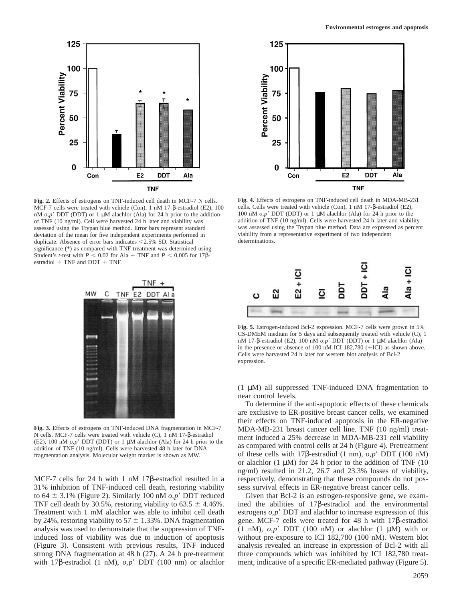

**Fig. 2.** Effects of estrogens on TNF-induced cell death in MCF-7 N cells. **Fig. 4.** Effects of estrogens on TNF-induced cell death in MDA-MB-231 MCF-7 cells were treated with vehicle (Con), 1 nM 17-8-estradiol (E2), 100 c MCF-7 cells were treated with vehicle (Con), 1 nM 17-β-estradiol (E2), 100 cells. Cells were treated with vehicle (Con), 1 nM 17-β-estradiol (E2), nM  $o,p'$  DDT (DDT) or 1 µM alachlor (Ala) for 24 h prior to the addition 1 nM *o*,*p'* DDT (DDT) or 1 µM alachlor (Ala) for 24 h prior to the addition 100 nM *o*,*p'* DDT (DDT) or 1 µM alachlor (Ala) for 24 h prior to the of TNF (10 ng/ml). Cells were harvested 24 h later and viability was additi of TNF (10 ng/ml). Cell were harvested 24 h later and viability was addition of TNF (10 ng/ml). Cells were harvested 24 h later and viability assessed using the Trypan blue method. Data are expressed as percent assessed using the Trypan blue method. Error bars represent standard was assessed using the Trypan blue method. Data are expressed deviation of the mean for five independent experiments performed in viability from a repres deviation of the mean for five independent experiments performed in viability from a representations.<br>
duplicate Absence of error bars indicates <2.5% SD Statistical determinations. duplicate. Absence of error bars indicates  $<$  2.5% SD. Statistical significance (\*) as compared with TNF treatment was determined using Student's *t*-test with  $P \le 0.02$  for Ala + TNF and  $P \le 0.005$  for 17βestradiol  $+$  TNF and DDT  $+$  TNF.



31% inhibition of TNF-induced cell death, restoring viability sess survival effects in ER-negative breast cancer cells. to 64  $\pm$  3.1% (Figure 2). Similarly 100 nM  $o, p'$  DDT reduced Given that Bcl-2 is an estrogen-responsive gene, we exam-





**Fig. 5.** Estrogen-induced Bcl-2 expression. MCF-7 cells were grown in 5% CS-DMEM medium for 5 days and subsequently treated with vehicle (C), 1 nM 17-β-estradiol (E2), 100 nM *o,p'* DDT (DDT) or 1 μM alachlor (Ala) in the presence or absence of 100 nM ICI 182,780  $(+ICI)$  as shown above. Cells were harvested 24 h later for western blot analysis of Bcl-2 expression.

(1 µM) all suppressed TNF-induced DNA fragmentation to near control levels.

To determine if the anti-apoptotic effects of these chemicals are exclusive to ER-positive breast cancer cells, we examined their effects on TNF-induced apoptosis in the ER-negative **Fig. 3.** Effects of estrogens on TNF-induced DNA fragmentation in MCF-7<br>
NCF-7<br>
NCP-231 breast cancer cell line. TNF (10 ng/ml) treat-<br>
Ncells. MCF-7 cells were treated with vehicle (C), 1 nM 17-β-estradiol<br>
(E2), 100 nM of these cells with 17β-estradiol (1 nm), *o*,*p*<sup>*'*</sup> DDT (100 nM) or alachlor  $(1 \mu M)$  for 24 h prior to the addition of TNF  $(10$ ng/ml) resulted in 21.2, 26.7 and 23.3% losses of viability, MCF-7 cells for 24 h with 1 nM 17β-estradiol resulted in a respectively, demonstrating that these compounds do not pos-

TNF cell death by 30.5%, restoring viability to  $63.5 \pm 4.46\%$ . ined the abilities of 17β-estradiol and the environmental Treatment with 1 mM alachlor was able to inhibit cell death estrogens  $o, p'$  DDT and alachlor to increase expression of this by 24%, restoring viability to 57  $\pm$  1.33%. DNA fragmentation gene. MCF-7 cells were treated for 48 h with 17β-estradiol analysis was used to demonstrate that the suppression of TNF-  $(1 \text{ nM})$ ,  $o,p'$  DDT (100 nM) or alachlor (1  $\mu$ M) with or induced loss of viability was due to induction of apoptosis without pre-exposure to ICI 182,780 (100 nM). Western blot (Figure 3). Consistent with previous results, TNF induced analysis revealed an increase in expression of Bcl-2 with all strong DNA fragmentation at 48 h (27). A 24 h pre-treatment three compounds which was inhibited by ICI 182,780 treatwith 17β-estradiol (1 nM), *o,p'* DDT (100 nm) or alachlor ment, indicative of a specific ER-mediated pathway (Figure 5).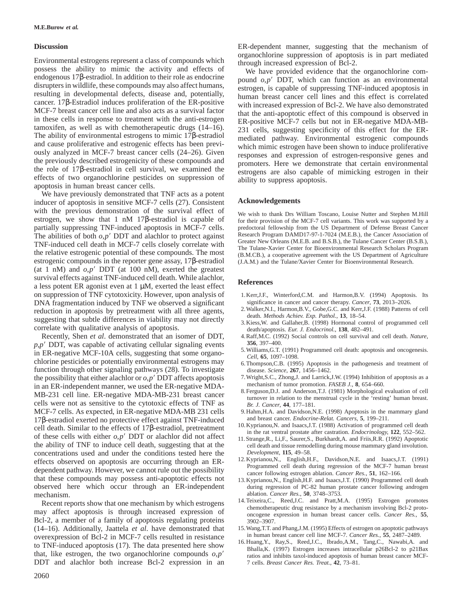Environmental estrogens represent a class of compounds which<br>possess the ability to mimic the activity and effects of<br>endogenous 17 $\beta$ -estradiol. In addition to their role as endocrine<br>disrupters in wildlife, these compo cancer. 17β-Estradiol induces proliferation of the ER-positive<br>
MCF-7 breast cancer cell line and also acts as a survival factor<br>
in these cells with increased expression of Bcl-2. We have also demonstrated<br>
that the anti-

We have previously demonstrated that TNF acts as a potent inducer of apoptosis in sensitive MCF-7 cells (27). Consistent **Acknowledgements** with the previous demonstration of the survival effect of<br>estrogen, we show that 1 nM 17β-estradiol is capable of for their provision of the MCF-7 cell variants. This work was supported by a partially suppressing TNF-induced apoptosis in MCF-7 cells. predoctoral fellowship from the US Department of Defense Breast Cancer<br>The abilities of both  $\alpha$  n' DDT and alachlor to protect against<br>Research Program DAMD17-The abilities of both  $o, p'$  DDT and alachlor to protect against<br>TNF-induced cell death in MCF-7 cells closely correlate with<br>the relative estrogenic potential of these compounds. The most<br>estrogenic compounds in the repo estrogenic compounds in the reporter gene assay,  $17\beta$ -estradiol (at 1 nM) and  $o, p'$  DDT (at 100 nM), exerted the greatest survival effects against TNF-induced cell death. While alachlor,<br>a less potent ER agonist even at 1 µM, exerted the least effect **References** on suppression of TNF cytotoxicity. However, upon analysis of 1. Kerr,J.F., Winterford,C.M. and Harmon,B.V. (1994) Apoptosis. Its DNA fragmentation induced by TNF we observed a significant significance in cancer and cancer therapy. *Cancer*, **73**, 2013–2026.<br>
reduction in aportosis by pretreatment with all three agents 2. Walker, N.I., Harmon, B.V., reduction in apoptosis by pretreatment with all three agents,<br>suggesting that subtle differences in viability may not directly<br>correlate with qualitative analysis of apoptosis.<br>correlate with qualitative analysis of apopto

 $p, p'$  DDT, was capable of activating cellular signaling events<br>in ER-negative MCF-10A cells, suggesting that some organo-<br>chlorine pesticides or potentially environmental estrogens may<br>6. Thompson, C.B. (1995) Apoptosis function through other signaling pathways (28). To investigate disease. *Science*, **267**, 1456–1462. the possibility that either alachlor or  $o, p'$  DDT affects apoptosis 7. Wright,S.C., Zhong,J. and Larrick,J.W. (1994) Inhibition of apoptosis as a<br>in an ER-independent manner, we used the ER-negative MDA-<br>mechanism of tum in an ER-independent manner, we used the ER-negative MDA-<br>
MB-231 cell line. ER-negative MDA-MB-231 breast cancer<br>
eells were not as sensitive to the cytotoxic effects of TNF as<br>
MCF-7 cells. As expected, in ER-negative M MCF-7 cells. As expected, in ER-negative MDA-MB 231 cells 9. Hahm,H.A. and Davidson,N.E. (1998) Apoptosis in the n<br>178-estradiol exerted no protective effect against TNF-induced and breast cancer. *Endocrine-Relat. Cancers* 17β-estradiol exerted no protective effect against TNF-induced<br>
cell death. Similar to the effects of 17β-estradiol, pretreatment<br>
of these cells with either *o,p'* DDT or alachlor did not affect<br>
of these cells with eit the ability of TNF to induce cell death, suggesting that at the cell death and tissue remodelling during mouse mammary gland involution. concentrations used and under the conditions tested here the *Development*, **115**, 49–58.<br>effects observed on aportosis are occurring through an FR<sub>5</sub>, 12. Kyprianou, N., English, H.F., Davidson, N.E. and Isaacs, J.T. (199 effects observed on apoptosis are occurring through an ER-<br>dependent pathway. However, we cannot rule out the possibility<br>that these compounds may possess anti-apoptotic effects not<br>observed here which occur through an ERobserved here which occur through an ER-independent mechanism.<br>**Example 1995** Estrogen promotes the street of the top of the top mechanism by which estrogens and Hart, J.C. and Pratt, M.A. (1995) Estrogen promotes

Bcl-2, a member of a family of apoptosis regulating proteins 3902–3907. (14–16). Additionally, Jaattela *et al.* have demonstrated that 15. Wang,T.T. and Phang,J.M. (1995) Effects of estrogen on apoptotic pathways<br>overexpression of Bcl-2 in MCF-7 cells resulted in resistance in human breast ca overexpression of Bcl-2 in MCF-7 cells resulted in resistance<br>to TNF-induced apoptosis (17). The data presented here show<br>that, like estrogen, the two organochlorine compounds  $o,p'$ <br>DDT and alachlor both increase Bcl-2 ex DDT and alachlor both increase Bcl-2 expression in an

- 
- 
- 
- Recently, Shen *et al.* demonstrated that an isomer of DDT, 4. Raff,M.C. (1992) Social controls on cell survival and cell death. *Nature*,  $\frac{356}{297-400}$ .
	-
	-
	-
	-
	-
	-
	-
	-
	-
- Recent reports show that one mechanism by which estrogens<br>may affect apoptosis is through increased expression of<br>mechanism in human breast cancer cells. Cancer Res., 55,<br>expression in human breast cancer cells. Cancer Res
	-
	-